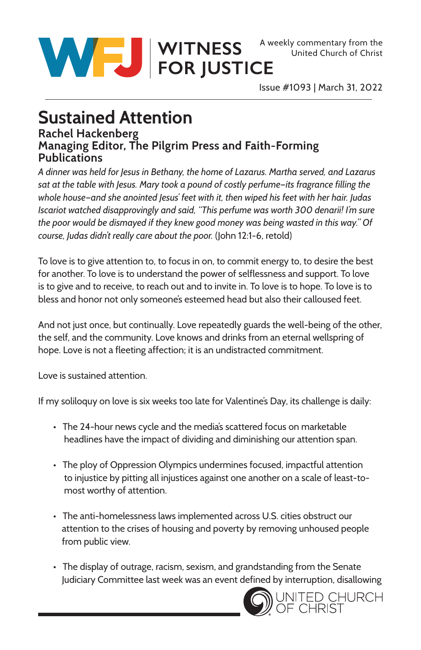

Issue #1093 | March 31, 2022

## **Sustained Attention Rachel Hackenberg Managing Editor, The Pilgrim Press and Faith-Forming Publications**

*A dinner was held for Jesus in Bethany, the home of Lazarus. Martha served, and Lazarus sat at the table with Jesus. Mary took a pound of costly perfume—its fragrance filling the whole house—and she anointed Jesus' feet with it, then wiped his feet with her hair. Judas Iscariot watched disapprovingly and said, "This perfume was worth 300 denarii! I'm sure the poor would be dismayed if they knew good money was being wasted in this way." Of course, Judas didn't really care about the poor.* (John 12:1-6, retold)

To love is to give attention to, to focus in on, to commit energy to, to desire the best for another. To love is to understand the power of selflessness and support. To love is to give and to receive, to reach out and to invite in. To love is to hope. To love is to bless and honor not only someone's esteemed head but also their calloused feet.

And not just once, but continually. Love repeatedly guards the well-being of the other, the self, and the community. Love knows and drinks from an eternal wellspring of hope. Love is not a fleeting affection; it is an undistracted commitment.

Love is sustained attention.

If my soliloquy on love is six weeks too late for Valentine's Day, its challenge is daily:

- The 24-hour news cycle and the media's scattered focus on marketable headlines have the impact of dividing and diminishing our attention span.
- The ploy of Oppression Olympics undermines focused, impactful attention to injustice by pitting all injustices against one another on a scale of least-to most worthy of attention.
- The anti-homelessness laws implemented across U.S. cities obstruct our attention to the crises of housing and poverty by removing unhoused people from public view.
- The display of outrage, racism, sexism, and grandstanding from the Senate Judiciary Committee last week was an event defined by interruption, disallowing